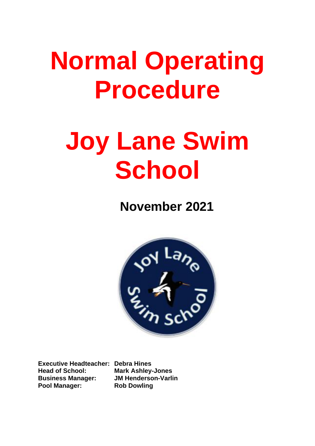## **Normal Operating Procedure**

# **Joy Lane Swim School**

**November 2021** 



**Executive Headteacher: Debra Hines Head of School: Mark Ashley-Jones Business Manager: JM Henderson-Varlin Pool Manager: Rob Dowling**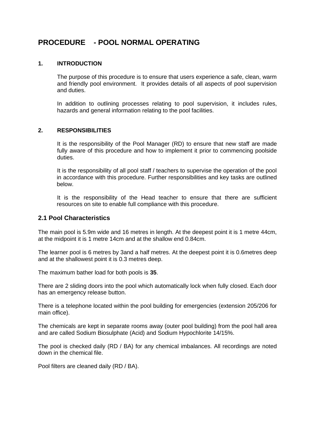### **PROCEDURE - POOL NORMAL OPERATING**

#### **1. INTRODUCTION**

The purpose of this procedure is to ensure that users experience a safe, clean, warm and friendly pool environment. It provides details of all aspects of pool supervision and duties.

In addition to outlining processes relating to pool supervision, it includes rules, hazards and general information relating to the pool facilities.

#### **2. RESPONSIBILITIES**

It is the responsibility of the Pool Manager (RD) to ensure that new staff are made fully aware of this procedure and how to implement it prior to commencing poolside duties.

It is the responsibility of all pool staff / teachers to supervise the operation of the pool in accordance with this procedure. Further responsibilities and key tasks are outlined below.

It is the responsibility of the Head teacher to ensure that there are sufficient resources on site to enable full compliance with this procedure.

#### **2.1 Pool Characteristics**

The main pool is 5.9m wide and 16 metres in length. At the deepest point it is 1 metre 44cm, at the midpoint it is 1 metre 14cm and at the shallow end 0.84cm.

The learner pool is 6 metres by 3and a half metres. At the deepest point it is 0.6metres deep and at the shallowest point it is 0.3 metres deep.

The maximum bather load for both pools is **35**.

There are 2 sliding doors into the pool which automatically lock when fully closed. Each door has an emergency release button.

There is a telephone located within the pool building for emergencies (extension 205/206 for main office).

The chemicals are kept in separate rooms away (outer pool building) from the pool hall area and are called Sodium Biosulphate (Acid) and Sodium Hypochlorite 14/15%.

The pool is checked daily (RD / BA) for any chemical imbalances. All recordings are noted down in the chemical file.

Pool filters are cleaned daily (RD / BA).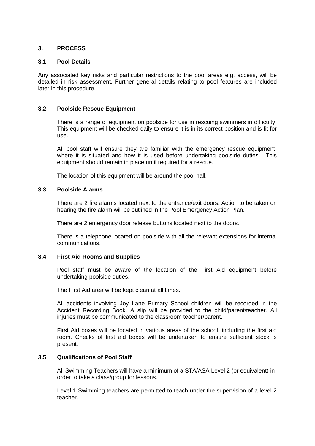#### **3. PROCESS**

#### **3.1 Pool Details**

Any associated key risks and particular restrictions to the pool areas e.g. access, will be detailed in risk assessment. Further general details relating to pool features are included later in this procedure.

#### **3.2 Poolside Rescue Equipment**

There is a range of equipment on poolside for use in rescuing swimmers in difficulty. This equipment will be checked daily to ensure it is in its correct position and is fit for use.

All pool staff will ensure they are familiar with the emergency rescue equipment, where it is situated and how it is used before undertaking poolside duties. This equipment should remain in place until required for a rescue.

The location of this equipment will be around the pool hall.

#### **3.3 Poolside Alarms**

There are 2 fire alarms located next to the entrance/exit doors. Action to be taken on hearing the fire alarm will be outlined in the Pool Emergency Action Plan.

There are 2 emergency door release buttons located next to the doors.

There is a telephone located on poolside with all the relevant extensions for internal communications.

#### **3.4 First Aid Rooms and Supplies**

Pool staff must be aware of the location of the First Aid equipment before undertaking poolside duties.

The First Aid area will be kept clean at all times.

All accidents involving Joy Lane Primary School children will be recorded in the Accident Recording Book. A slip will be provided to the child/parent/teacher. All injuries must be communicated to the classroom teacher/parent.

First Aid boxes will be located in various areas of the school, including the first aid room. Checks of first aid boxes will be undertaken to ensure sufficient stock is present.

#### **3.5 Qualifications of Pool Staff**

All Swimming Teachers will have a minimum of a STA/ASA Level 2 (or equivalent) inorder to take a class/group for lessons.

Level 1 Swimming teachers are permitted to teach under the supervision of a level 2 teacher.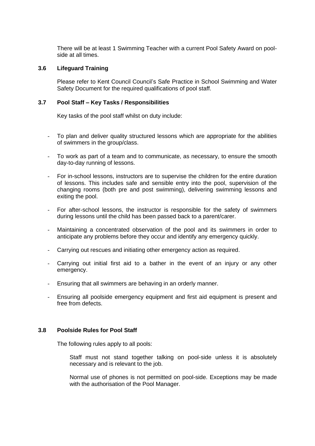There will be at least 1 Swimming Teacher with a current Pool Safety Award on poolside at all times.

#### **3.6 Lifeguard Training**

Please refer to Kent Council Council's Safe Practice in School Swimming and Water Safety Document for the required qualifications of pool staff.

#### **3.7 Pool Staff – Key Tasks / Responsibilities**

Key tasks of the pool staff whilst on duty include:

- To plan and deliver quality structured lessons which are appropriate for the abilities of swimmers in the group/class.
- To work as part of a team and to communicate, as necessary, to ensure the smooth day-to-day running of lessons.
- For in-school lessons, instructors are to supervise the children for the entire duration of lessons. This includes safe and sensible entry into the pool, supervision of the changing rooms (both pre and post swimming), delivering swimming lessons and exiting the pool.
- For after-school lessons, the instructor is responsible for the safety of swimmers during lessons until the child has been passed back to a parent/carer.
- Maintaining a concentrated observation of the pool and its swimmers in order to anticipate any problems before they occur and identify any emergency quickly.
- Carrying out rescues and initiating other emergency action as required.
- Carrying out initial first aid to a bather in the event of an injury or any other emergency.
- Ensuring that all swimmers are behaving in an orderly manner.
- Ensuring all poolside emergency equipment and first aid equipment is present and free from defects.

#### **3.8 Poolside Rules for Pool Staff**

The following rules apply to all pools:

Staff must not stand together talking on pool-side unless it is absolutely necessary and is relevant to the job.

Normal use of phones is not permitted on pool-side. Exceptions may be made with the authorisation of the Pool Manager.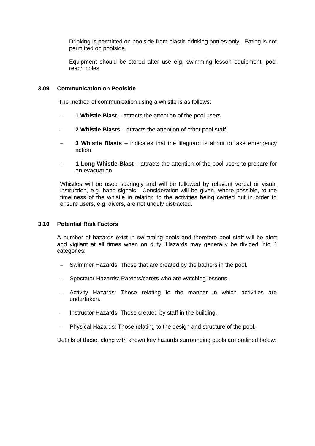Drinking is permitted on poolside from plastic drinking bottles only. Eating is not permitted on poolside.

Equipment should be stored after use e.g, swimming lesson equipment, pool reach poles.

#### **3.09 Communication on Poolside**

The method of communication using a whistle is as follows:

- **1 Whistle Blast** attracts the attention of the pool users
- **2 Whistle Blasts** attracts the attention of other pool staff.
- **3 Whistle Blasts** indicates that the lifeguard is about to take emergency action
- − **1 Long Whistle Blast** attracts the attention of the pool users to prepare for an evacuation

Whistles will be used sparingly and will be followed by relevant verbal or visual instruction, e.g. hand signals. Consideration will be given, where possible, to the timeliness of the whistle in relation to the activities being carried out in order to ensure users, e.g. divers, are not unduly distracted.

#### **3.10 Potential Risk Factors**

A number of hazards exist in swimming pools and therefore pool staff will be alert and vigilant at all times when on duty. Hazards may generally be divided into 4 categories:

- − Swimmer Hazards: Those that are created by the bathers in the pool.
- − Spectator Hazards: Parents/carers who are watching lessons.
- − Activity Hazards: Those relating to the manner in which activities are undertaken.
- − Instructor Hazards: Those created by staff in the building.
- − Physical Hazards: Those relating to the design and structure of the pool.

Details of these, along with known key hazards surrounding pools are outlined below: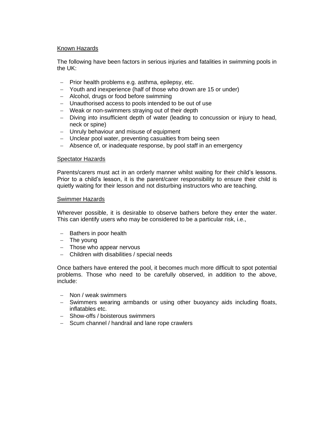#### Known Hazards

The following have been factors in serious injuries and fatalities in swimming pools in the UK:

- − Prior health problems e.g. asthma, epilepsy, etc.
- − Youth and inexperience (half of those who drown are 15 or under)
- − Alcohol, drugs or food before swimming
- − Unauthorised access to pools intended to be out of use
- − Weak or non-swimmers straying out of their depth
- − Diving into insufficient depth of water (leading to concussion or injury to head, neck or spine)
- − Unruly behaviour and misuse of equipment
- − Unclear pool water, preventing casualties from being seen
- − Absence of, or inadequate response, by pool staff in an emergency

#### Spectator Hazards

Parents/carers must act in an orderly manner whilst waiting for their child's lessons. Prior to a child's lesson, it is the parent/carer responsibility to ensure their child is quietly waiting for their lesson and not disturbing instructors who are teaching.

#### Swimmer Hazards

Wherever possible, it is desirable to observe bathers before they enter the water. This can identify users who may be considered to be a particular risk, i.e.,

- − Bathers in poor health
- − The young
- − Those who appear nervous
- − Children with disabilities / special needs

Once bathers have entered the pool, it becomes much more difficult to spot potential problems. Those who need to be carefully observed, in addition to the above, include:

- − Non / weak swimmers
- − Swimmers wearing armbands or using other buoyancy aids including floats, inflatables etc.
- − Show-offs / boisterous swimmers
- − Scum channel / handrail and lane rope crawlers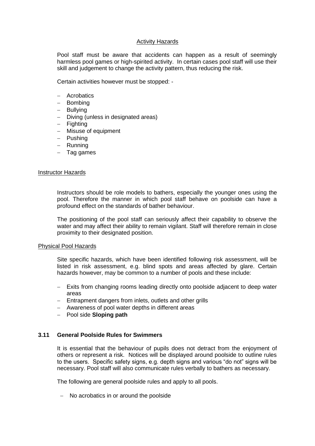#### Activity Hazards

Pool staff must be aware that accidents can happen as a result of seemingly harmless pool games or high-spirited activity. In certain cases pool staff will use their skill and judgement to change the activity pattern, thus reducing the risk.

Certain activities however must be stopped: -

- − Acrobatics
- − Bombing
- − Bullying
- − Diving (unless in designated areas)
- − Fighting
- − Misuse of equipment
- − Pushing
- − Running
- − Tag games

#### Instructor Hazards

Instructors should be role models to bathers, especially the younger ones using the pool. Therefore the manner in which pool staff behave on poolside can have a profound effect on the standards of bather behaviour.

The positioning of the pool staff can seriously affect their capability to observe the water and may affect their ability to remain vigilant. Staff will therefore remain in close proximity to their designated position.

#### Physical Pool Hazards

Site specific hazards, which have been identified following risk assessment, will be listed in risk assessment, e.g. blind spots and areas affected by glare. Certain hazards however, may be common to a number of pools and these include:

- − Exits from changing rooms leading directly onto poolside adjacent to deep water areas
- − Entrapment dangers from inlets, outlets and other grills
- − Awareness of pool water depths in different areas
- − Pool side **Sloping path**

#### **3.11 General Poolside Rules for Swimmers**

It is essential that the behaviour of pupils does not detract from the enjoyment of others or represent a risk. Notices will be displayed around poolside to outline rules to the users. Specific safety signs, e.g. depth signs and various "do not" signs will be necessary. Pool staff will also communicate rules verbally to bathers as necessary.

The following are general poolside rules and apply to all pools.

− No acrobatics in or around the poolside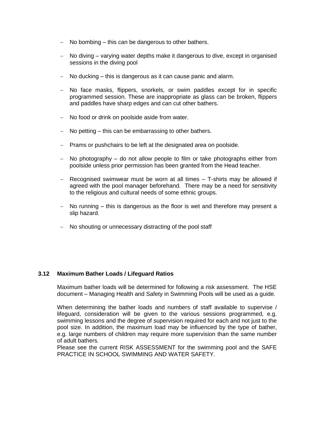- − No bombing this can be dangerous to other bathers.
- − No diving varying water depths make it dangerous to dive, except in organised sessions in the diving pool
- − No ducking this is dangerous as it can cause panic and alarm.
- − No face masks, flippers, snorkels, or swim paddles except for in specific programmed session. These are inappropriate as glass can be broken, flippers and paddles have sharp edges and can cut other bathers.
- − No food or drink on poolside aside from water.
- − No petting this can be embarrassing to other bathers.
- − Prams or pushchairs to be left at the designated area on poolside.
- − No photography do not allow people to film or take photographs either from poolside unless prior permission has been granted from the Head teacher.
- − Recognised swimwear must be worn at all times T-shirts may be allowed if agreed with the pool manager beforehand. There may be a need for sensitivity to the religious and cultural needs of some ethnic groups.
- − No running this is dangerous as the floor is wet and therefore may present a slip hazard.
- − No shouting or unnecessary distracting of the pool staff

#### **3.12 Maximum Bather Loads / Lifeguard Ratios**

Maximum bather loads will be determined for following a risk assessment. The HSE document – Managing Health and Safety in Swimming Pools will be used as a guide.

When determining the bather loads and numbers of staff available to supervise / lifeguard, consideration will be given to the various sessions programmed, e.g. swimming lessons and the degree of supervision required for each and not just to the pool size. In addition, the maximum load may be influenced by the type of bather, e.g. large numbers of children may require more supervision than the same number of adult bathers.

Please see the current RISK ASSESSMENT for the swimming pool and the SAFE PRACTICE IN SCHOOL SWIMMING AND WATER SAFETY.